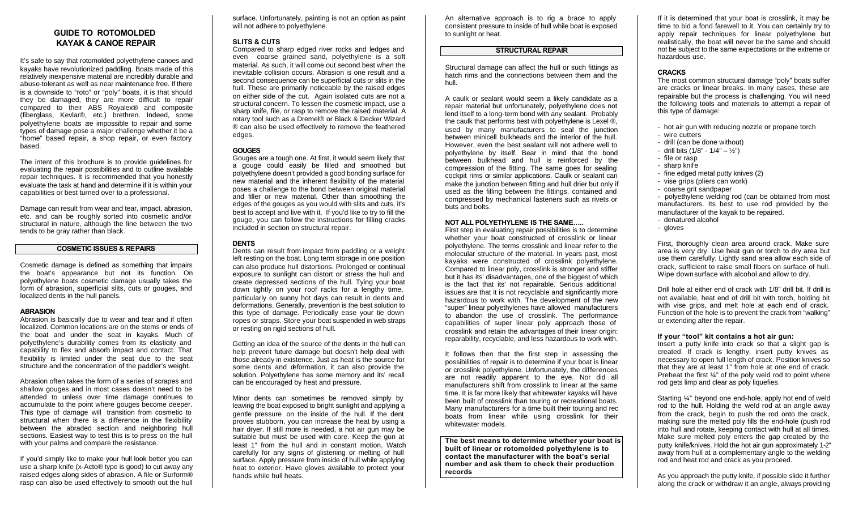# **GUIDE TO ROTOMOLDED KAYAK & CANOE REPAIR**

It's safe to say that rotomolded polyethylene canoes and kayaks have revolutionized paddling. Boats made of this relatively inexpensive material are incredibly durable and abuse-tolerant as well as near maintenance free. If there is a downside to "roto" or "poly" boats, it is that should they be damaged, they are more difficult to repair compared to their ABS Royalex® and composite (fiberglass, Kevlar®, etc.) brethren. Indeed, some polyethylene boats are impossible to repair and some types of damage pose a major challenge whether it be a "home" based repair, a shop repair, or even factory based.

The intent of this brochure is to provide guidelines for evaluating the repair possibilities and to outline available repair techniques. It is recommended that you honestly evaluate the task at hand and determine if it is within your capabilities or best turned over to a professional.

Damage can result from wear and tear, impact, abrasion, etc. and can be roughly sorted into cosmetic and/or structural in nature, although the line between the two tends to be gray rather than black.

## **COSMETIC ISSUES & REPAIRS**

Cosmetic damage is defined as something that impairs the boat's appearance but not its function. On polyethylene boats cosmetic damage usually takes the form of abrasion, superficial slits, cuts or gouges, and localized dents in the hull panels.

#### **ABRASION**

Abrasion is basically due to wear and tear and if often localized. Common locations are on the stems or ends of the boat and under the seat in kayaks. Much of polyethylene's durability comes from its elasticity and capability to flex and absorb impact and contact. That flexibility is limited under the seat due to the seat structure and the concentration of the paddler's weight.

Abrasion often takes the form of a series of scrapes and shallow gouges and in most cases doesn't need to be attended to unless over time damage continues to accumulate to the point where gouges become deeper. This type of damage will transition from cosmetic to structural when there is a difference in the flexibility between the abraded section and neighboring hull sections. Easiest way to test this is to press on the hull with your palms and compare the resistance.

If you'd simply like to make your hull look better you can use a sharp knife (x-Acto® type is good) to cut away any raised edges along sides of abrasion. A file or Surform® rasp can also be used effectively to smooth out the hull

surface. Unfortunately, painting is not an option as paint will not adhere to polyethylene.

# **SLITS & CUTS**

Compared to sharp edged river rocks and ledges and even coarse grained sand, polyethylene is a soft material. As such, it will come out second best when the inevitable collision occurs. Abrasion is one result and a second consequence can be superficial cuts or slits in the hull. These are primarily noticeable by the raised edges on either side of the cut. Again isolated cuts are not a structural concern. To lessen the cosmetic impact, use a sharp knife, file, or rasp to remove the raised material. A rotary tool such as a Dremel® or Black & Decker Wizard ® can also be used effectively to remove the feathered edges.

# **GOUGES**

Gouges are a tough one. At first, it would seem likely that a gouge could easily be filled and smoothed but polyethylene doesn't provided a good bonding surface for new material and the inherent flexibility of the material poses a challenge to the bond between original material and filler or new material. Other than smoothing the edges of the gouges as you would with slits and cuts, it's best to accept and live with it. If you'd like to try to fill the gouge, you can follow the instructions for filling cracks included in section on structural repair.

# **DENTS**

Dents can result from impact from paddling or a weight left resting on the boat. Long term storage in one position can also produce hull distortions. Prolonged or continual exposure to sunlight can distort or stress the hull and create depressed sections of the hull. Tying your boat down tightly on your roof racks for a lengthy time, particularly on sunny hot days can result in dents and deformations. Generally, prevention is the best solution to this type of damage. Periodically ease your tie down ropes or straps. Store your boat suspended in web straps or resting on rigid sections of hull.

Getting an idea of the source of the dents in the hull can help prevent future damage but doesn't help deal with those already in existence. Just as heat is the source for some dents and deformation, it can also provide the solution. Polyethylene has some memory and its' recall can be encouraged by heat and pressure.

Minor dents can sometimes be removed simply by leaving the boat exposed to bright sunlight and applying a gentle pressure on the inside of the hull. If the dent proves stubborn, you can increase the heat by using a hair dryer. If still more is needed, a hot air gun may be suitable but must be used with care. Keep the gun at least 1" from the hull and in constant motion. Watch carefully for any signs of glistening or melting of hull surface. Apply pressure from inside of hull while applying heat to exterior. Have gloves available to protect your hands while hull heats.

An alternative approach is to rig a brace to apply consistent pressure to inside of hull while boat is exposed to sunlight or heat.

## **STRUCTURAL REPAIR**

Structural damage can affect the hull or such fittings as hatch rims and the connections between them and the hull.

A caulk or sealant would seem a likely candidate as a repair material but unfortunately, polyethylene does not lend itself to a long-term bond with any sealant. Probably the caulk that performs best with polyethylene is Lexel ®, used by many manufacturers to seal the junction between minicell bulkheads and the interior of the hull. However, even the best sealant will not adhere well to polyethylene by itself. Bear in mind that the bond between bulkhead and hull is reinforced by the compression of the fitting. The same goes for sealing cockpit rims or similar applications. Caulk or sealant can make the junction between fitting and hull drier but only if used as the filling between the fittings, contained and compressed by mechanical fasteners such as rivets or buts and bolts.

### **NOT ALL POLYETHYLENE IS THE SAME…..**

First step in evaluating repair possibilities is to determine whether your boat constructed of crosslink or linear polyethylene. The terms crosslink and linear refer to the molecular structure of the material. In years past, most kayaks were constructed of crosslink polyethylene. Compared to linear poly, crosslink is stronger and stiffer but it has its' disadvantages, one of the biggest of which is the fact that its' not repairable. Serious additional issues are that it is not recyclable and significantly more hazardous to work with. The development of the new "super" linear polyethylenes have allowed manufacturers to abandon the use of crosslink. The performance capabilities of super linear poly approach those of crosslink and retain the advantages of their linear origin: reparability, recyclable, and less hazardous to work with.

It follows then that the first step in assessing the possibilities of repair is to determine if your boat is linear or crosslink polyethylene. Unfortunately, the differences are not readily apparent to the eye. Nor did all manufacturers shift from crosslink to linear at the same time. It is far more likely that whitewater kayaks will have been built of crosslink than touring or recreational boats. Many manufacturers for a time built their touring and rec boats from linear while using crosslink for their whitewater models.

**The best means to determine whether your boat is built of linear or rotomolded polyethylene is to contact the manufacturer with the boat's serial number and ask them to check their production records**

If it is determined that your boat is crosslink, it may be time to bid a fond farewell to it. You can certainly try to apply repair techniques for linear polyethylene but realistically, the boat will never be the same and should not be subject to the same expectations or the extreme or hazardous use.

# **CRACKS**

The most common structural damage "poly" boats suffer are cracks or linear breaks. In many cases, these are repairable but the process is challenging. You will need the following tools and materials to attempt a repair of this type of damage:

- hot air gun with reducing nozzle or propane torch
- wire cutters
- drill (can be done without)
- drill bits  $(1/8" 1/4" ½")$
- file or rasp
- sharp knife
- fine edged metal putty knives (2)
- vise grips (pliers can work)
- coarse grit sandpaper

- polyethylene welding rod (can be obtained from most manufacturers. Its best to use rod provided by the manufacturer of the kayak to be repaired.

- denatured alcohol
- gloves

First, thoroughly clean area around crack. Make sure area is very dry. Use heat gun or torch to dry area but use them carefully. Lightly sand area allow each side of crack, sufficient to raise small fibers on surface of hull. Wipe down surface with alcohol and allow to dry.

Drill hole at either end of crack with 1/8" drill bit. If drill is not available, heat end of drill bit with torch, holding bit with vise grips, and melt hole at each end of crack. Function of the hole is to prevent the crack from "walking" or extending after the repair.

#### **If your "tool" kit contains a hot air gun:**

Insert a putty knife into crack so that a slight gap is created. If crack is lengthy, insert putty knives as necessary to open full length of crack. Position knives so that they are at least 1" from hole at one end of crack. Preheat the first ¼" of the poly weld rod to point where rod gets limp and clear as poly liquefies.

Starting ¼" beyond one end-hole, apply hot end of weld rod to the hull. Holding the weld rod at an angle away from the crack, begin to push the rod onto the crack, making sure the melted poly fills the end-hole (push rod into hull and rotate, keeping contact with hull at all times. Make sure melted poly enters the gap created by the putty knife/knives. Hold the hot air gun approximately 1-2" away from hull at a complementary angle to the welding rod and heat rod and crack as you proceed.

As you approach the putty knife, if possible slide it further along the crack or withdraw it an angle, always providing